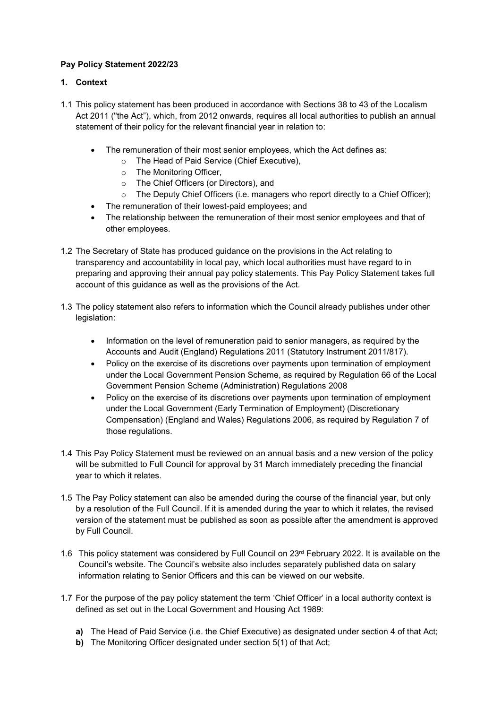# **Pay Policy Statement 2022/23**

## **1. Context**

- 1.1 This policy statement has been produced in accordance with Sections 38 to 43 of the Localism Act 2011 ("the Act"), which, from 2012 onwards, requires all local authorities to publish an annual statement of their policy for the relevant financial year in relation to:
	- The remuneration of their most senior employees, which the Act defines as:
		- o The Head of Paid Service (Chief Executive),
		- o The Monitoring Officer,
		- o The Chief Officers (or Directors), and
		- o The Deputy Chief Officers (i.e. managers who report directly to a Chief Officer);
	- The remuneration of their lowest-paid employees; and
	- The relationship between the remuneration of their most senior employees and that of other employees.
- 1.2 The Secretary of State has produced guidance on the provisions in the Act relating to transparency and accountability in local pay, which local authorities must have regard to in preparing and approving their annual pay policy statements. This Pay Policy Statement takes full account of this guidance as well as the provisions of the Act.
- 1.3 The policy statement also refers to information which the Council already publishes under other legislation:
	- Information on the level of remuneration paid to senior managers, as required by the Accounts and Audit (England) Regulations 2011 (Statutory Instrument 2011/817).
	- Policy on the exercise of its discretions over payments upon termination of employment under the Local Government Pension Scheme, as required by Regulation 66 of the Local Government Pension Scheme (Administration) Regulations 2008
	- Policy on the exercise of its discretions over payments upon termination of employment under the Local Government (Early Termination of Employment) (Discretionary Compensation) (England and Wales) Regulations 2006, as required by Regulation 7 of those regulations.
- 1.4 This Pay Policy Statement must be reviewed on an annual basis and a new version of the policy will be submitted to Full Council for approval by 31 March immediately preceding the financial year to which it relates.
- 1.5 The Pay Policy statement can also be amended during the course of the financial year, but only by a resolution of the Full Council. If it is amended during the year to which it relates, the revised version of the statement must be published as soon as possible after the amendment is approved by Full Council.
- 1.6 This policy statement was considered by Full Council on  $23<sup>rd</sup>$  February 2022. It is available on the Council's website. The Council's website also includes separately published data on salary information relating to Senior Officers and this can be viewed on our website.
- 1.7 For the purpose of the pay policy statement the term 'Chief Officer' in a local authority context is defined as set out in the Local Government and Housing Act 1989:
	- **a)** The Head of Paid Service (i.e. the Chief Executive) as designated under section 4 of that Act;
	- **b)** The Monitoring Officer designated under section 5(1) of that Act: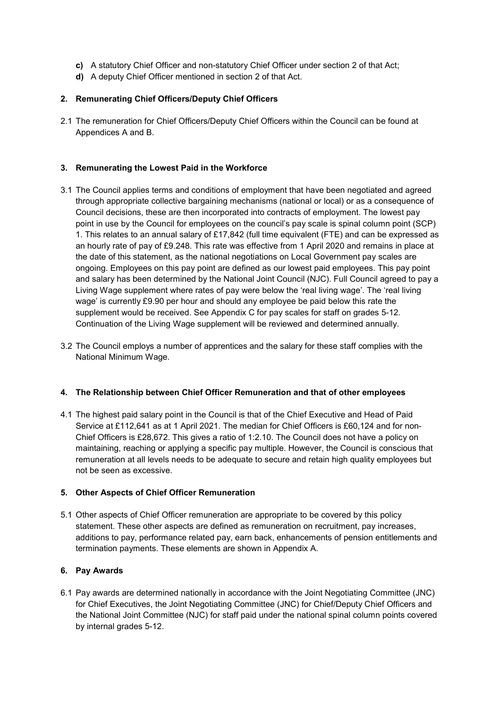- **c)** A statutory Chief Officer and non-statutory Chief Officer under section 2 of that Act;
- **d)** A deputy Chief Officer mentioned in section 2 of that Act.

## **2. Remunerating Chief Officers/Deputy Chief Officers**

2.1 The remuneration for Chief Officers/Deputy Chief Officers within the Council can be found at Appendices A and B.

### **3. Remunerating the Lowest Paid in the Workforce**

- 3.1 The Council applies terms and conditions of employment that have been negotiated and agreed through appropriate collective bargaining mechanisms (national or local) or as a consequence of Council decisions, these are then incorporated into contracts of employment. The lowest pay point in use by the Council for employees on the council's pay scale is spinal column point (SCP) 1. This relates to an annual salary of £17,842 (full time equivalent (FTE) and can be expressed as an hourly rate of pay of £9.248. This rate was effective from 1 April 2020 and remains in place at the date of this statement, as the national negotiations on Local Government pay scales are ongoing. Employees on this pay point are defined as our lowest paid employees. This pay point and salary has been determined by the National Joint Council (NJC). Full Council agreed to pay a Living Wage supplement where rates of pay were below the 'real living wage'. The 'real living wage' is currently £9.90 per hour and should any employee be paid below this rate the supplement would be received. See Appendix C for pay scales for staff on grades 5-12. Continuation of the Living Wage supplement will be reviewed and determined annually.
- 3.2 The Council employs a number of apprentices and the salary for these staff complies with the National Minimum Wage.

#### **4. The Relationship between Chief Officer Remuneration and that of other employees**

4.1 The highest paid salary point in the Council is that of the Chief Executive and Head of Paid Service at £112,641 as at 1 April 2021. The median for Chief Officers is £60,124 and for non-Chief Officers is £28,672. This gives a ratio of 1:2.10. The Council does not have a policy on maintaining, reaching or applying a specific pay multiple. However, the Council is conscious that remuneration at all levels needs to be adequate to secure and retain high quality employees but not be seen as excessive.

#### **5. Other Aspects of Chief Officer Remuneration**

5.1 Other aspects of Chief Officer remuneration are appropriate to be covered by this policy statement. These other aspects are defined as remuneration on recruitment, pay increases, additions to pay, performance related pay, earn back, enhancements of pension entitlements and termination payments. These elements are shown in Appendix A.

#### **6. Pay Awards**

6.1 Pay awards are determined nationally in accordance with the Joint Negotiating Committee (JNC) for Chief Executives, the Joint Negotiating Committee (JNC) for Chief/Deputy Chief Officers and the National Joint Committee (NJC) for staff paid under the national spinal column points covered by internal grades 5-12.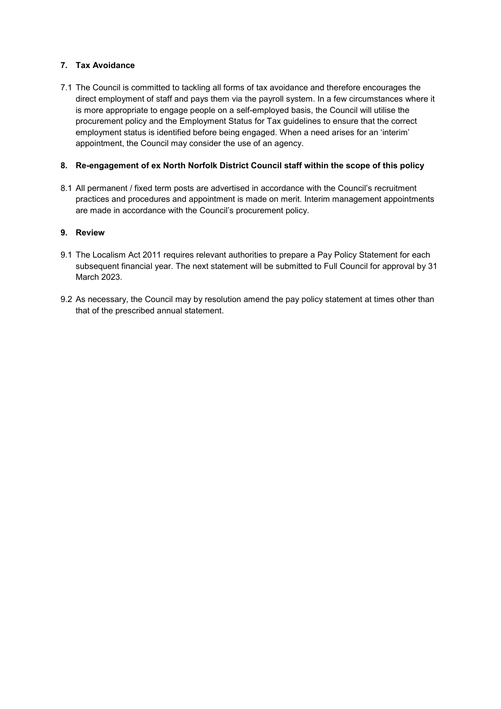# **7. Tax Avoidance**

7.1 The Council is committed to tackling all forms of tax avoidance and therefore encourages the direct employment of staff and pays them via the payroll system. In a few circumstances where it is more appropriate to engage people on a self-employed basis, the Council will utilise the procurement policy and the Employment Status for Tax guidelines to ensure that the correct employment status is identified before being engaged. When a need arises for an 'interim' appointment, the Council may consider the use of an agency.

## **8. Re-engagement of ex North Norfolk District Council staff within the scope of this policy**

8.1 All permanent / fixed term posts are advertised in accordance with the Council's recruitment practices and procedures and appointment is made on merit. Interim management appointments are made in accordance with the Council's procurement policy.

#### **9. Review**

- 9.1 The Localism Act 2011 requires relevant authorities to prepare a Pay Policy Statement for each subsequent financial year. The next statement will be submitted to Full Council for approval by 31 March 2023.
- 9.2 As necessary, the Council may by resolution amend the pay policy statement at times other than that of the prescribed annual statement.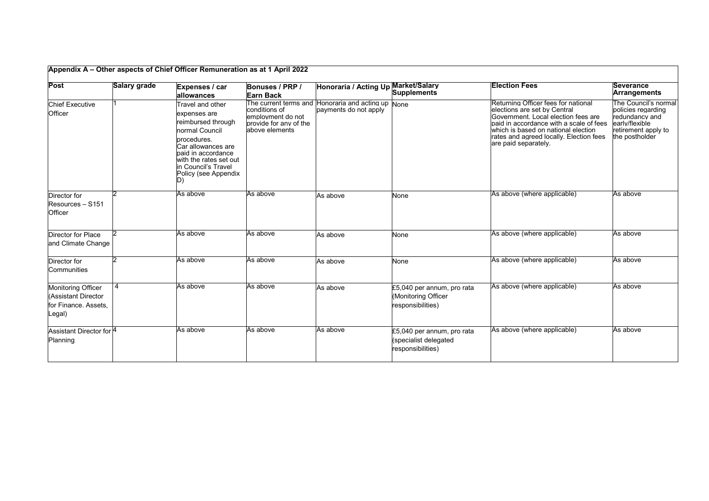| Post                                                                               | Salary grade | Expenses / car                                                                                                                                                                                                                   | Bonuses / PRP /                                                                                    | Honoraria / Acting Up Market/Salary                                         | <b>Supplements</b>                                                       | <b>Election Fees</b>                                                                                                                                                                                                                                             | <b>Severance</b><br><b>Arrangements</b>                                                                                 |
|------------------------------------------------------------------------------------|--------------|----------------------------------------------------------------------------------------------------------------------------------------------------------------------------------------------------------------------------------|----------------------------------------------------------------------------------------------------|-----------------------------------------------------------------------------|--------------------------------------------------------------------------|------------------------------------------------------------------------------------------------------------------------------------------------------------------------------------------------------------------------------------------------------------------|-------------------------------------------------------------------------------------------------------------------------|
| <b>Chief Executive</b><br>Officer                                                  |              | allowances<br>Travel and other<br>expenses are<br>reimbursed through<br>normal Council<br>procedures.<br>Car allowances are<br>paid in accordance<br>with the rates set out<br>in Council's Travel<br>Policy (see Appendix<br>D) | <b>Earn Back</b><br>conditions of<br>employment do not<br>provide for any of the<br>above elements | The current terms and Honoraria and acting up None<br>payments do not apply |                                                                          | Returning Officer fees for national<br>lelections are set by Central<br>Government. Local election fees are<br>paid in accordance with a scale of fees<br>which is based on national election<br>rates and agreed locally. Election fees<br>are paid separately. | The Council's normal<br>policies regarding<br>redundancy and<br>early/flexible<br>retirement apply to<br>the postholder |
| Director for<br>Resources - S151<br>Officer                                        |              | As above                                                                                                                                                                                                                         | As above                                                                                           | As above                                                                    | None                                                                     | As above (where applicable)                                                                                                                                                                                                                                      | As above                                                                                                                |
| Director for Place<br>and Climate Change                                           |              | As above                                                                                                                                                                                                                         | As above                                                                                           | As above                                                                    | None                                                                     | As above (where applicable)                                                                                                                                                                                                                                      | As above                                                                                                                |
| Director for<br>Communities                                                        |              | As above                                                                                                                                                                                                                         | As above                                                                                           | As above                                                                    | None                                                                     | As above (where applicable)                                                                                                                                                                                                                                      | As above                                                                                                                |
| <b>Monitoring Officer</b><br>(Assistant Director<br>for Finance. Assets,<br>Legal) | 4            | As above                                                                                                                                                                                                                         | As above                                                                                           | As above                                                                    | £5,040 per annum, pro rata<br>(Monitoring Officer<br>responsibilities)   | As above (where applicable)                                                                                                                                                                                                                                      | As above                                                                                                                |
| Assistant Director for <sup>4</sup><br>Planning                                    |              | As above                                                                                                                                                                                                                         | As above                                                                                           | As above                                                                    | £5,040 per annum, pro rata<br>(specialist delegated<br>responsibilities) | As above (where applicable)                                                                                                                                                                                                                                      | As above                                                                                                                |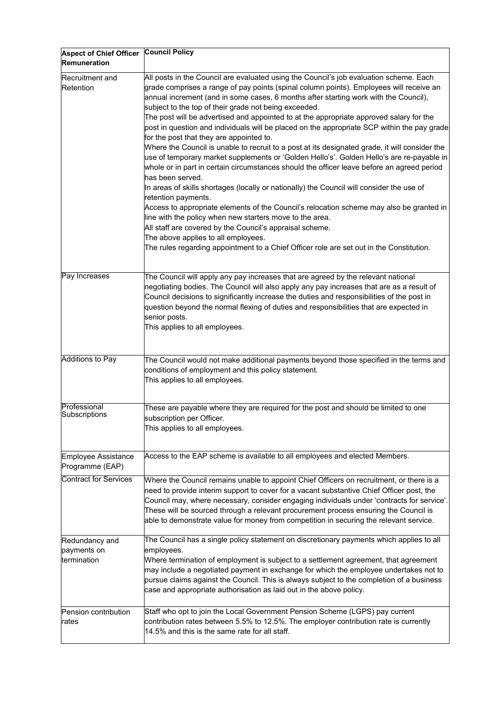| <b>Aspect of Chief Officer</b>                | <b>Council Policy</b>                                                                                                                                                                                                                                                                                                                                                                                                                                                                                                                                                                                                                                                                                                                                                                                                                                                                                                                                                                                                                                                                                                                                                                                                                                                                                                                                                |
|-----------------------------------------------|----------------------------------------------------------------------------------------------------------------------------------------------------------------------------------------------------------------------------------------------------------------------------------------------------------------------------------------------------------------------------------------------------------------------------------------------------------------------------------------------------------------------------------------------------------------------------------------------------------------------------------------------------------------------------------------------------------------------------------------------------------------------------------------------------------------------------------------------------------------------------------------------------------------------------------------------------------------------------------------------------------------------------------------------------------------------------------------------------------------------------------------------------------------------------------------------------------------------------------------------------------------------------------------------------------------------------------------------------------------------|
| Remuneration                                  |                                                                                                                                                                                                                                                                                                                                                                                                                                                                                                                                                                                                                                                                                                                                                                                                                                                                                                                                                                                                                                                                                                                                                                                                                                                                                                                                                                      |
| Recruitment and<br>Retention                  | All posts in the Council are evaluated using the Council's job evaluation scheme. Each<br>grade comprises a range of pay points (spinal column points). Employees will receive an<br>annual increment (and in some cases, 6 months after starting work with the Council),<br>subject to the top of their grade not being exceeded.<br>The post will be advertised and appointed to at the appropriate approved salary for the<br>post in question and individuals will be placed on the appropriate SCP within the pay grade<br>for the post that they are appointed to.<br>Where the Council is unable to recruit to a post at its designated grade, it will consider the<br>use of temporary market supplements or 'Golden Hello's'. Golden Hello's are re-payable in<br>whole or in part in certain circumstances should the officer leave before an agreed period<br>has been served.<br>In areas of skills shortages (locally or nationally) the Council will consider the use of<br>retention payments.<br>Access to appropriate elements of the Council's relocation scheme may also be granted in<br>line with the policy when new starters move to the area.<br>All staff are covered by the Council's appraisal scheme.<br>The above applies to all employees.<br>The rules regarding appointment to a Chief Officer role are set out in the Constitution. |
| Pay Increases                                 | The Council will apply any pay increases that are agreed by the relevant national<br>negotiating bodies. The Council will also apply any pay increases that are as a result of<br>Council decisions to significantly increase the duties and responsibilities of the post in<br>question beyond the normal flexing of duties and responsibilities that are expected in<br>senior posts.<br>This applies to all employees.                                                                                                                                                                                                                                                                                                                                                                                                                                                                                                                                                                                                                                                                                                                                                                                                                                                                                                                                            |
| <b>Additions to Pay</b>                       | The Council would not make additional payments beyond those specified in the terms and<br>conditions of employment and this policy statement.<br>This applies to all employees.                                                                                                                                                                                                                                                                                                                                                                                                                                                                                                                                                                                                                                                                                                                                                                                                                                                                                                                                                                                                                                                                                                                                                                                      |
| Professional<br>Subscriptions                 | These are payable where they are required for the post and should be limited to one<br>subscription per Officer.<br>This applies to all employees.                                                                                                                                                                                                                                                                                                                                                                                                                                                                                                                                                                                                                                                                                                                                                                                                                                                                                                                                                                                                                                                                                                                                                                                                                   |
| <b>Employee Assistance</b><br>Programme (EAP) | Access to the EAP scheme is available to all employees and elected Members.                                                                                                                                                                                                                                                                                                                                                                                                                                                                                                                                                                                                                                                                                                                                                                                                                                                                                                                                                                                                                                                                                                                                                                                                                                                                                          |
| <b>Contract for Services</b>                  | Where the Council remains unable to appoint Chief Officers on recruitment, or there is a<br>need to provide interim support to cover for a vacant substantive Chief Officer post, the<br>Council may, where necessary, consider engaging individuals under 'contracts for service'.<br>These will be sourced through a relevant procurement process ensuring the Council is<br>able to demonstrate value for money from competition in securing the relevant service.                                                                                                                                                                                                                                                                                                                                                                                                                                                                                                                                                                                                                                                                                                                                                                                                                                                                                                |
| Redundancy and<br>payments on<br>termination  | The Council has a single policy statement on discretionary payments which applies to all<br>employees.<br>Where termination of employment is subject to a settlement agreement, that agreement<br>may include a negotiated payment in exchange for which the employee undertakes not to<br>pursue claims against the Council. This is always subject to the completion of a business<br>case and appropriate authorisation as laid out in the above policy.                                                                                                                                                                                                                                                                                                                                                                                                                                                                                                                                                                                                                                                                                                                                                                                                                                                                                                          |
| Pension contribution<br>rates                 | Staff who opt to join the Local Government Pension Scheme (LGPS) pay current<br>contribution rates between 5.5% to 12.5%. The employer contribution rate is currently<br>14.5% and this is the same rate for all staff.                                                                                                                                                                                                                                                                                                                                                                                                                                                                                                                                                                                                                                                                                                                                                                                                                                                                                                                                                                                                                                                                                                                                              |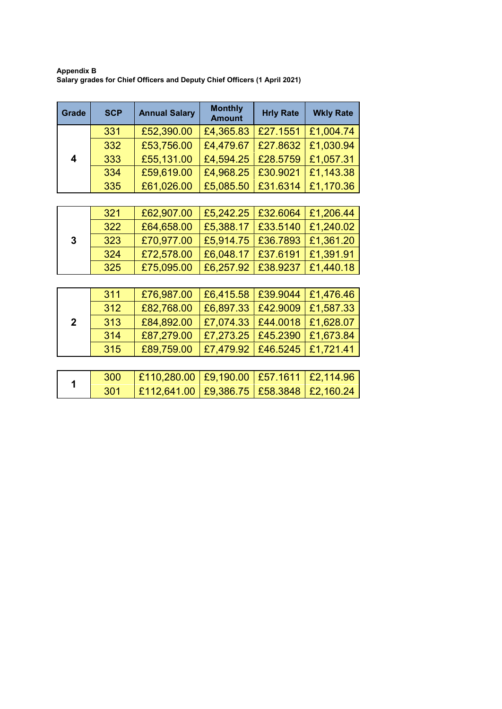**Appendix B Salary grades for Chief Officers and Deputy Chief Officers (1 April 2021)** 

| <b>Grade</b> | <b>SCP</b> | <b>Annual Salary</b> | <b>Monthly</b><br><b>Amount</b> | <b>Hrly Rate</b>   | <b>Wkly Rate</b> |
|--------------|------------|----------------------|---------------------------------|--------------------|------------------|
| 4            | 331        | £52,390.00           | £4,365.83                       | E27.1551 E1.004.74 |                  |
|              | 332        | £53,756.00           | £4,479.67                       | $ $ £27.8632 $ $   | £1,030.94        |
|              | 333        | £55,131.00           | £4,594.25                       | £28.5759           | £1,057.31        |
|              | 334        | £59,619.00           | £4,968.25                       | £30.9021           | £1,143.38        |
|              | 335        | £61,026.00           | £5,085.50                       | £31.6314           | £1,170.36        |

| 3 | 321 | £62,907.00 |                                  | £5,242.25   £32.6064   £1,206.44 |                                  |
|---|-----|------------|----------------------------------|----------------------------------|----------------------------------|
|   | 322 | £64,658.00 |                                  |                                  | £5,388.17   £33.5140   £1,240.02 |
|   | 323 | £70,977.00 | £5,914.75   £36.7893   £1,361.20 |                                  |                                  |
|   | 324 | £72,578.00 |                                  | £6,048.17   £37.6191   £1,391.91 |                                  |
|   | 325 | £75,095.00 | £6,257.92   £38.9237   £1,440.18 |                                  |                                  |

|              | 311 | £76,987.00 | E6,415.58 E39.9044 E1,476.46     |  |
|--------------|-----|------------|----------------------------------|--|
|              | 312 | £82,768.00 | £6,897.33   £42.9009   £1,587.33 |  |
| $\mathbf{2}$ | 313 | £84,892.00 | £7,074.33   £44.0018   £1,628.07 |  |
|              | 314 | £87,279.00 | £7,273.25   £45.2390   £1,673.84 |  |
|              | 315 | £89,759.00 | E7,479.92   £46.5245   £1,721.41 |  |

|     | $\vert$ £110,280.00 $\vert$ £9,190.00 $\vert$ £57.1611 $\vert$ £2,114.96 |  |  |
|-----|--------------------------------------------------------------------------|--|--|
| 301 | $\vert$ £112,641.00 $\vert$ £9,386.75 $\vert$ £58.3848 $\vert$ £2,160.24 |  |  |